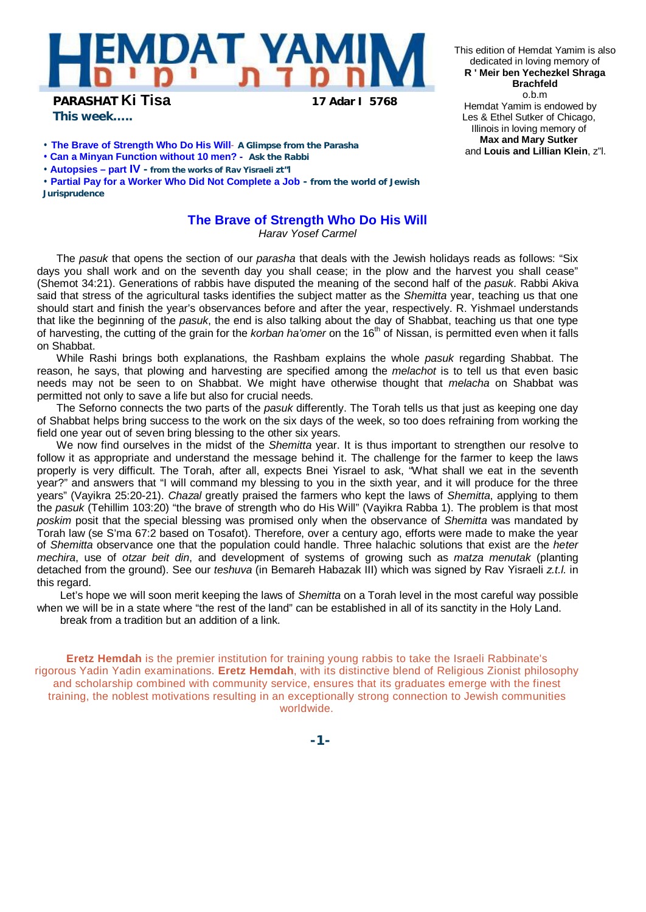

**PARASHAT Ki Tisa 17 Adar I 5768**

*This week…..*

- **The Brave of Strength Who Do His Will A Glimpse from the Parasha**
- **Can a Minyan Function without 10 men? Ask the Rabbi**
- **Autopsies – part IV - from the works of Rav Yisraeli zt"l**

• **Partial Pay for a Worker Who Did Not Complete a Job - from the world of Jewish Jurisprudence** 

## **The Brave of Strength Who Do His Will**

*Harav Yosef Carmel* 

The *pasuk* that opens the section of our *parasha* that deals with the Jewish holidays reads as follows: "Six days you shall work and on the seventh day you shall cease; in the plow and the harvest you shall cease" (Shemot 34:21). Generations of rabbis have disputed the meaning of the second half of the *pasuk*. Rabbi Akiva said that stress of the agricultural tasks identifies the subject matter as the *Shemitta* year, teaching us that one should start and finish the year's observances before and after the year, respectively. R. Yishmael understands that like the beginning of the *pasuk*, the end is also talking about the day of Shabbat, teaching us that one type of harvesting, the cutting of the grain for the *korban ha'omer* on the 16th of Nissan, is permitted even when it falls on Shabbat.

While Rashi brings both explanations, the Rashbam explains the whole *pasuk* regarding Shabbat. The reason, he says, that plowing and harvesting are specified among the *melachot* is to tell us that even basic needs may not be seen to on Shabbat. We might have otherwise thought that *melacha* on Shabbat was permitted not only to save a life but also for crucial needs.

The Seforno connects the two parts of the *pasuk* differently. The Torah tells us that just as keeping one day of Shabbat helps bring success to the work on the six days of the week, so too does refraining from working the field one year out of seven bring blessing to the other six years.

We now find ourselves in the midst of the *Shemitta* year. It is thus important to strengthen our resolve to follow it as appropriate and understand the message behind it. The challenge for the farmer to keep the laws properly is very difficult. The Torah, after all, expects Bnei Yisrael to ask, "What shall we eat in the seventh year?" and answers that "I will command my blessing to you in the sixth year, and it will produce for the three years" (Vayikra 25:20-21). *Chazal* greatly praised the farmers who kept the laws of *Shemitta*, applying to them the *pasuk* (Tehillim 103:20) "the brave of strength who do His Will" (Vayikra Rabba 1). The problem is that most *poskim* posit that the special blessing was promised only when the observance of *Shemitta* was mandated by Torah law (se S'ma 67:2 based on Tosafot). Therefore, over a century ago, efforts were made to make the year of *Shemitta* observance one that the population could handle. Three halachic solutions that exist are the *heter mechira*, use of *otzar beit din*, and development of systems of growing such as *matza menutak* (planting detached from the ground). See our *teshuva* (in Bemareh Habazak III) which was signed by Rav Yisraeli *z.t.l.* in this regard.

Let's hope we will soon merit keeping the laws of *Shemitta* on a Torah level in the most careful way possible when we will be in a state where "the rest of the land" can be established in all of its sanctity in the Holy Land. break from a tradition but an addition of a link.

**Eretz Hemdah** is the premier institution for training young rabbis to take the Israeli Rabbinate's rigorous Yadin Yadin examinations. **Eretz Hemdah**, with its distinctive blend of Religious Zionist philosophy and scholarship combined with community service, ensures that its graduates emerge with the finest training, the noblest motivations resulting in an exceptionally strong connection to Jewish communities worldwide.

This edition of Hemdat Yamim is also dedicated in loving memory of **R ' Meir ben Yechezkel Shraga Brachfeld** o.b.m Hemdat Yamim is endowed by Les & Ethel Sutker of Chicago, Illinois in loving memory of **Max and Mary Sutker** and **Louis and Lillian Klein**, z"l.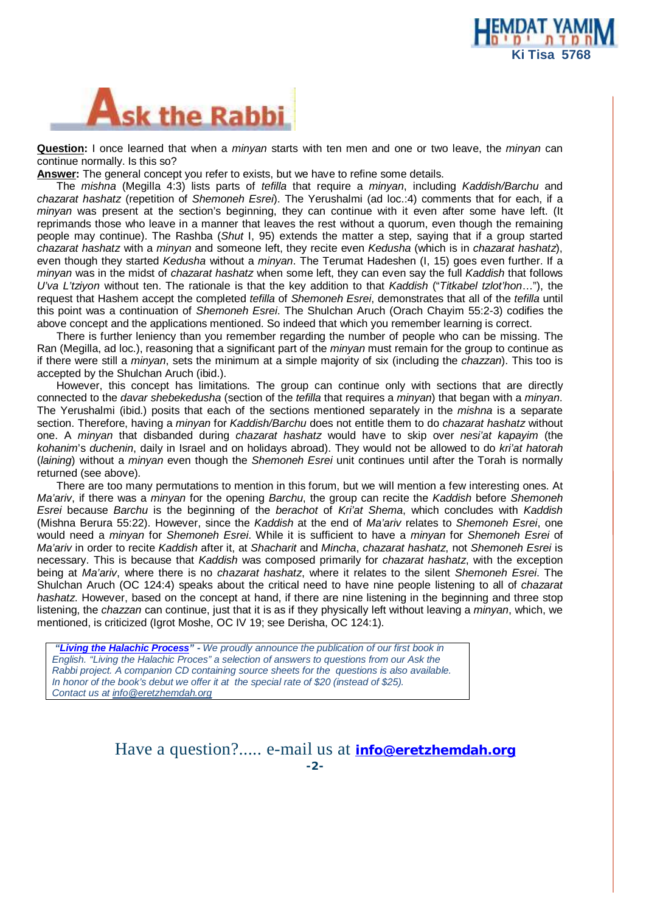



**Question:** I once learned that when a *minyan* starts with ten men and one or two leave, the *minyan* can continue normally. Is this so?

**Answer:** The general concept you refer to exists, but we have to refine some details.

The *mishna* (Megilla 4:3) lists parts of *tefilla* that require a *minyan*, including *Kaddish/Barchu* and *chazarat hashatz* (repetition of *Shemoneh Esrei*). The Yerushalmi (ad loc.:4) comments that for each, if a *minyan* was present at the section's beginning, they can continue with it even after some have left. (It reprimands those who leave in a manner that leaves the rest without a quorum, even though the remaining people may continue). The Rashba (*Shut* I, 95) extends the matter a step, saying that if a group started *chazarat hashatz* with a *minyan* and someone left, they recite even *Kedusha* (which is in *chazarat hashatz*), even though they started *Kedusha* without a *minyan*. The Terumat Hadeshen (I, 15) goes even further. If a *minyan* was in the midst of *chazarat hashatz* when some left, they can even say the full *Kaddish* that follows *U'va L'tziyon* without ten. The rationale is that the key addition to that *Kaddish* ("*Titkabel tzlot'hon*…"), the request that Hashem accept the completed *tefilla* of *Shemoneh Esrei*, demonstrates that all of the *tefilla* until this point was a continuation of *Shemoneh Esrei*. The Shulchan Aruch (Orach Chayim 55:2-3) codifies the above concept and the applications mentioned. So indeed that which you remember learning is correct.

There is further leniency than you remember regarding the number of people who can be missing. The Ran (Megilla, ad loc.), reasoning that a significant part of the *minyan* must remain for the group to continue as if there were still a *minyan*, sets the minimum at a simple majority of six (including the *chazzan*). This too is accepted by the Shulchan Aruch (ibid.).

However, this concept has limitations. The group can continue only with sections that are directly connected to the *davar shebekedusha* (section of the *tefilla* that requires a *minyan*) that began with a *minyan*. The Yerushalmi (ibid.) posits that each of the sections mentioned separately in the *mishna* is a separate section. Therefore, having a *minyan* for *Kaddish/Barchu* does not entitle them to do *chazarat hashatz* without one. A *minyan* that disbanded during *chazarat hashatz* would have to skip over *nesi'at kapayim* (the *kohanim*'s *duchenin*, daily in Israel and on holidays abroad). They would not be allowed to do *kri'at hatorah*  (*laining*) without a *minyan* even though the *Shemoneh Esrei* unit continues until after the Torah is normally returned (see above).

There are too many permutations to mention in this forum, but we will mention a few interesting ones. At *Ma'ariv*, if there was a *minyan* for the opening *Barchu*, the group can recite the *Kaddish* before *Shemoneh Esrei* because *Barchu* is the beginning of the *berachot* of *Kri'at Shema*, which concludes with *Kaddish*  (Mishna Berura 55:22). However, since the *Kaddish* at the end of *Ma'ariv* relates to *Shemoneh Esrei*, one would need a *minyan* for *Shemoneh Esrei*. While it is sufficient to have a *minyan* for *Shemoneh Esrei* of *Ma'ariv* in order to recite *Kaddish* after it, at *Shacharit* and *Mincha*, *chazarat hashatz*, not *Shemoneh Esrei* is necessary. This is because that *Kaddish* was composed primarily for *chazarat hashatz*, with the exception being at *Ma'ariv*, where there is no *chazarat hashatz*, where it relates to the silent *Shemoneh Esrei*. The Shulchan Aruch (OC 124:4) speaks about the critical need to have nine people listening to all of *chazarat hashatz*. However, based on the concept at hand, if there are nine listening in the beginning and three stop listening, the *chazzan* can continue, just that it is as if they physically left without leaving a *minyan*, which, we mentioned, is criticized (Igrot Moshe, OC IV 19; see Derisha, OC 124:1).

 *"Living the Halachic Process" - We proudly announce the publication of our first book in English. "Living the Halachic Proces" a selection of answers to questions from our Ask the Rabbi project. A companion CD containing source sheets for the questions is also available. In honor of the book's debut we offer it at the special rate of \$20 (instead of \$25). Contact us at [info@eretzhemdah.org](mailto:info@eretzhemdah.org)*

> Have a question?..... e-mail us at **[info@eretzhemdah.org](mailto:info@eretzhemdah.org) -2-**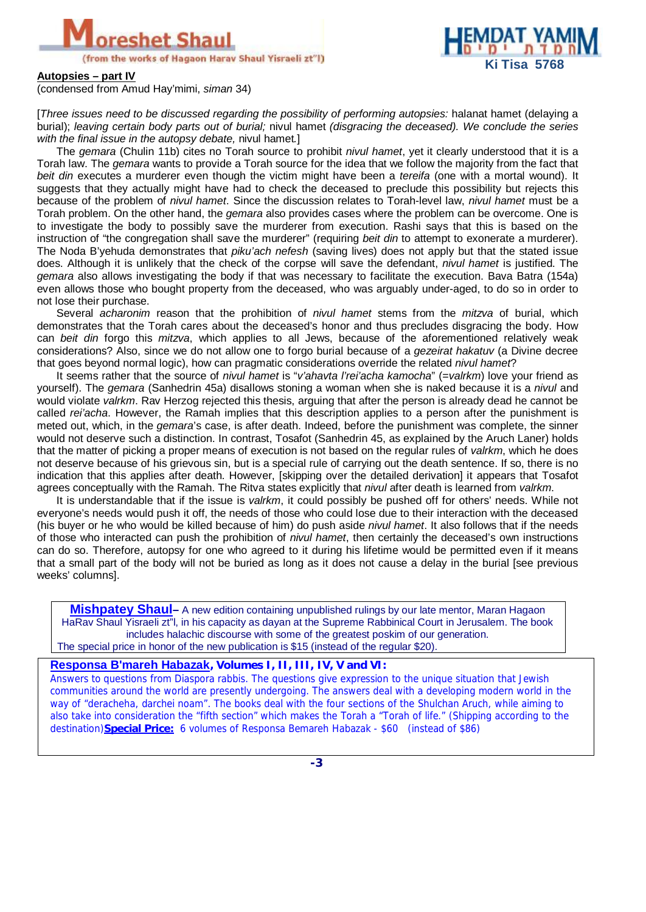



**Autopsies – part IV** 

(condensed from Amud Hay'mimi, *siman* 34)

[*Three issues need to be discussed regarding the possibility of performing autopsies:* halanat hamet (delaying a burial); *leaving certain body parts out of burial;* nivul hamet *(disgracing the deceased). We conclude the series with the final issue in the autopsy debate,* nivul hamet*.*]

The *gemara* (Chulin 11b) cites no Torah source to prohibit *nivul hamet*, yet it clearly understood that it is a Torah law. The *gemara* wants to provide a Torah source for the idea that we follow the majority from the fact that *beit din* executes a murderer even though the victim might have been a *tereifa* (one with a mortal wound). It suggests that they actually might have had to check the deceased to preclude this possibility but rejects this because of the problem of *nivul hamet*. Since the discussion relates to Torah-level law, *nivul hamet* must be a Torah problem. On the other hand, the *gemara* also provides cases where the problem can be overcome. One is to investigate the body to possibly save the murderer from execution. Rashi says that this is based on the instruction of "the congregation shall save the murderer" (requiring *beit din* to attempt to exonerate a murderer). The Noda B'yehuda demonstrates that *piku'ach nefesh* (saving lives) does not apply but that the stated issue does. Although it is unlikely that the check of the corpse will save the defendant, *nivul hamet* is justified. The *gemara* also allows investigating the body if that was necessary to facilitate the execution. Bava Batra (154a) even allows those who bought property from the deceased, who was arguably under-aged, to do so in order to not lose their purchase.

Several *acharonim* reason that the prohibition of *nivul hamet* stems from the *mitzva* of burial, which demonstrates that the Torah cares about the deceased's honor and thus precludes disgracing the body. How can *beit din* forgo this *mitzva*, which applies to all Jews, because of the aforementioned relatively weak considerations? Also, since we do not allow one to forgo burial because of a *gezeirat hakatuv* (a Divine decree that goes beyond normal logic), how can pragmatic considerations override the related *nivul hamet*?

It seems rather that the source of *nivul hamet* is "*v'ahavta l'rei'acha kamocha*" (=*valrkm*) love your friend as yourself). The *gemara* (Sanhedrin 45a) disallows stoning a woman when she is naked because it is a *nivul* and would violate *valrkm*. Rav Herzog rejected this thesis, arguing that after the person is already dead he cannot be called *rei'acha*. However, the Ramah implies that this description applies to a person after the punishment is meted out, which, in the *gemara*'s case, is after death. Indeed, before the punishment was complete, the sinner would not deserve such a distinction. In contrast, Tosafot (Sanhedrin 45, as explained by the Aruch Laner) holds that the matter of picking a proper means of execution is not based on the regular rules of *valrkm*, which he does not deserve because of his grievous sin, but is a special rule of carrying out the death sentence. If so, there is no indication that this applies after death. However, [skipping over the detailed derivation] it appears that Tosafot agrees conceptually with the Ramah. The Ritva states explicitly that *nivul* after death is learned from *valrkm*.

It is understandable that if the issue is *valrkm*, it could possibly be pushed off for others' needs. While not everyone's needs would push it off, the needs of those who could lose due to their interaction with the deceased (his buyer or he who would be killed because of him) do push aside *nivul hamet*. It also follows that if the needs of those who interacted can push the prohibition of *nivul hamet*, then certainly the deceased's own instructions can do so. Therefore, autopsy for one who agreed to it during his lifetime would be permitted even if it means that a small part of the body will not be buried as long as it does not cause a delay in the burial [see previous weeks' columns].

**Mishpatey Shaul–** A new edition containing unpublished rulings by our late mentor, Maran Hagaon HaRav Shaul Yisraeli zt"l, in his capacity as dayan at the Supreme Rabbinical Court in Jerusalem. The book includes halachic discourse with some of the greatest poskim of our generation. The special price in honor of the new publication is \$15 (instead of the regular \$20).

## **Responsa B'mareh Habazak***, Volumes I, II, III, IV, V and VI:*

Answers to questions from Diaspora rabbis. The questions give expression to the unique situation that Jewish communities around the world are presently undergoing. The answers deal with a developing modern world in the way of "deracheha, darchei noam". The books deal with the four sections of the Shulchan Aruch, while aiming to also take into consideration the "fifth section" which makes the Torah a "Torah of life." (Shipping according to the destination)**Special Price:** 6 volumes of Responsa Bemareh Habazak - \$60 (instead of \$86)